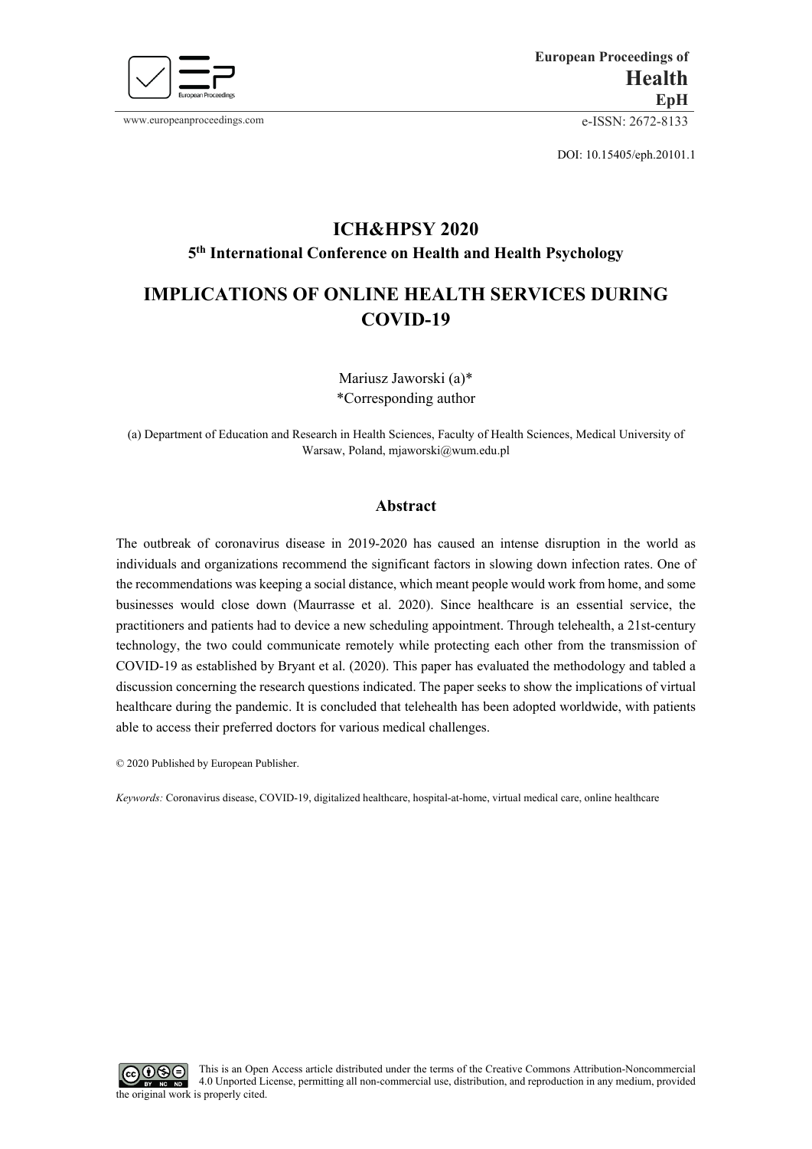

www.europeanproceedings.com e-ISSN: 2672-8133

DOI: 10.15405/eph.20101.1

# **ICH&HPSY 2020 5th International Conference on Health and Health Psychology**

## **IMPLICATIONS OF ONLINE HEALTH SERVICES DURING COVID-19**

Mariusz Jaworski (a)\* \*Corresponding author

(a) Department of Education and Research in Health Sciences, Faculty of Health Sciences, Medical University of Warsaw, Poland, mjaworski@wum.edu.pl

## **Abstract**

The outbreak of coronavirus disease in 2019-2020 has caused an intense disruption in the world as individuals and organizations recommend the significant factors in slowing down infection rates. One of the recommendations was keeping a social distance, which meant people would work from home, and some businesses would close down (Maurrasse et al. 2020). Since healthcare is an essential service, the practitioners and patients had to device a new scheduling appointment. Through telehealth, a 21st-century technology, the two could communicate remotely while protecting each other from the transmission of COVID-19 as established by Bryant et al. (2020). This paper has evaluated the methodology and tabled a discussion concerning the research questions indicated. The paper seeks to show the implications of virtual healthcare during the pandemic. It is concluded that telehealth has been adopted worldwide, with patients able to access their preferred doctors for various medical challenges.

© 2020 Published by European Publisher.

*Keywords:* Coronavirus disease, COVID-19, digitalized healthcare, hospital-at-home, virtual medical care, online healthcare

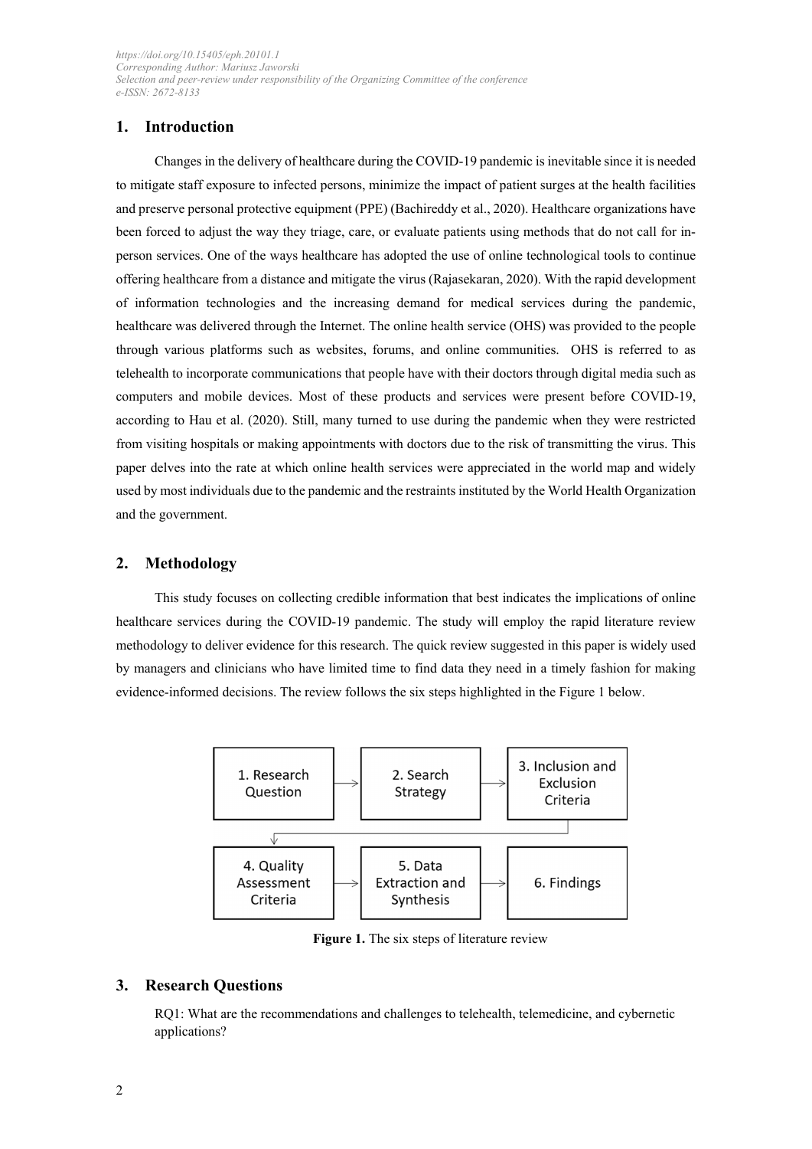## **1. Introduction**

Changes in the delivery of healthcare during the COVID-19 pandemic is inevitable since it is needed to mitigate staff exposure to infected persons, minimize the impact of patient surges at the health facilities and preserve personal protective equipment (PPE) (Bachireddy et al., 2020). Healthcare organizations have been forced to adjust the way they triage, care, or evaluate patients using methods that do not call for inperson services. One of the ways healthcare has adopted the use of online technological tools to continue offering healthcare from a distance and mitigate the virus (Rajasekaran, 2020). With the rapid development of information technologies and the increasing demand for medical services during the pandemic, healthcare was delivered through the Internet. The online health service (OHS) was provided to the people through various platforms such as websites, forums, and online communities. OHS is referred to as telehealth to incorporate communications that people have with their doctors through digital media such as computers and mobile devices. Most of these products and services were present before COVID-19, according to Hau et al. (2020). Still, many turned to use during the pandemic when they were restricted from visiting hospitals or making appointments with doctors due to the risk of transmitting the virus. This paper delves into the rate at which online health services were appreciated in the world map and widely used by most individuals due to the pandemic and the restraints instituted by the World Health Organization and the government.

## **2. Methodology**

This study focuses on collecting credible information that best indicates the implications of online healthcare services during the COVID-19 pandemic. The study will employ the rapid literature review methodology to deliver evidence for this research. The quick review suggested in this paper is widely used by managers and clinicians who have limited time to find data they need in a timely fashion for making evidence-informed decisions. The review follows the six steps highlighted in the Figure 1 below.



**Figure 1.** The six steps of literature review

## **3. Research Questions**

RQ1: What are the recommendations and challenges to telehealth, telemedicine, and cybernetic applications?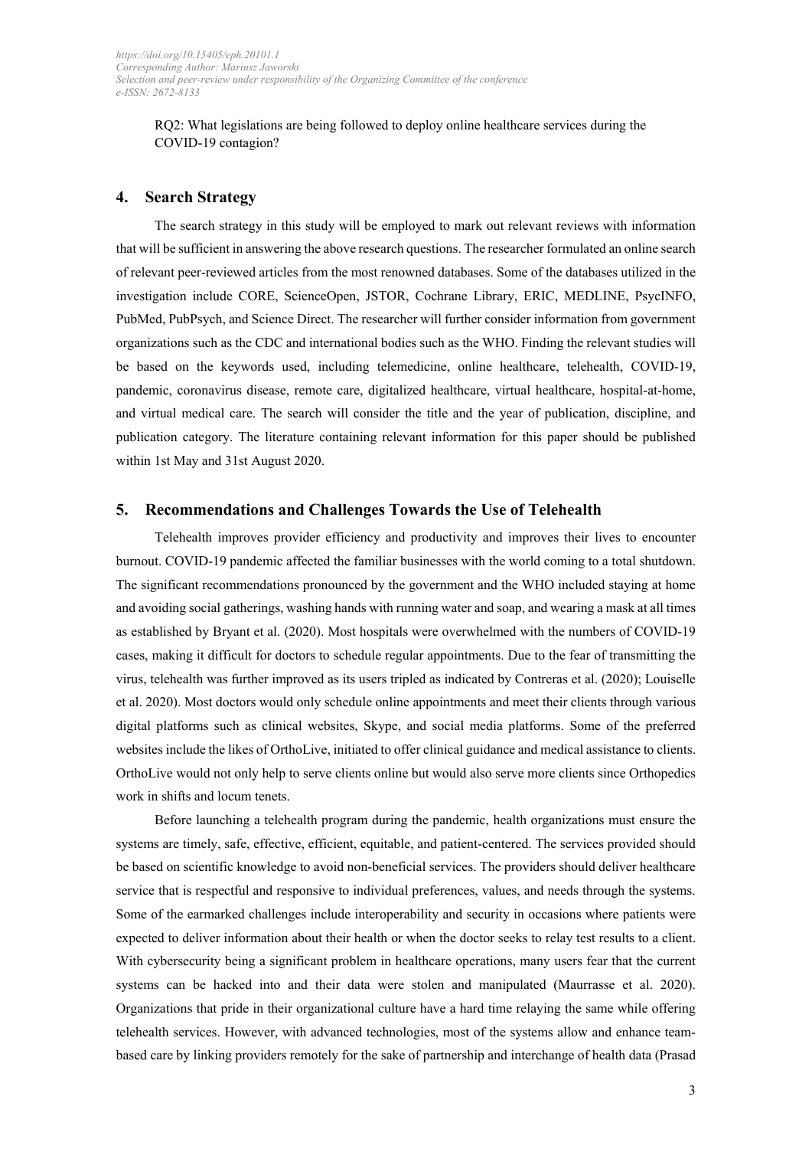RQ2: What legislations are being followed to deploy online healthcare services during the COVID-19 contagion?

#### **4. Search Strategy**

The search strategy in this study will be employed to mark out relevant reviews with information that will be sufficient in answering the above research questions. The researcher formulated an online search of relevant peer-reviewed articles from the most renowned databases. Some of the databases utilized in the investigation include CORE, ScienceOpen, JSTOR, Cochrane Library, ERIC, MEDLINE, PsycINFO, PubMed, PubPsych, and Science Direct. The researcher will further consider information from government organizations such as the CDC and international bodies such as the WHO. Finding the relevant studies will be based on the keywords used, including telemedicine, online healthcare, telehealth, COVID-19, pandemic, coronavirus disease, remote care, digitalized healthcare, virtual healthcare, hospital-at-home, and virtual medical care. The search will consider the title and the year of publication, discipline, and publication category. The literature containing relevant information for this paper should be published within 1st May and 31st August 2020.

#### **5. Recommendations and Challenges Towards the Use of Telehealth**

Telehealth improves provider efficiency and productivity and improves their lives to encounter burnout. COVID-19 pandemic affected the familiar businesses with the world coming to a total shutdown. The significant recommendations pronounced by the government and the WHO included staying at home and avoiding social gatherings, washing hands with running water and soap, and wearing a mask at all times as established by Bryant et al. (2020). Most hospitals were overwhelmed with the numbers of COVID-19 cases, making it difficult for doctors to schedule regular appointments. Due to the fear of transmitting the virus, telehealth was further improved as its users tripled as indicated by Contreras et al. (2020); Louiselle et al. 2020). Most doctors would only schedule online appointments and meet their clients through various digital platforms such as clinical websites, Skype, and social media platforms. Some of the preferred websites include the likes of OrthoLive, initiated to offer clinical guidance and medical assistance to clients. OrthoLive would not only help to serve clients online but would also serve more clients since Orthopedics work in shifts and locum tenets.

Before launching a telehealth program during the pandemic, health organizations must ensure the systems are timely, safe, effective, efficient, equitable, and patient-centered. The services provided should be based on scientific knowledge to avoid non-beneficial services. The providers should deliver healthcare service that is respectful and responsive to individual preferences, values, and needs through the systems. Some of the earmarked challenges include interoperability and security in occasions where patients were expected to deliver information about their health or when the doctor seeks to relay test results to a client. With cybersecurity being a significant problem in healthcare operations, many users fear that the current systems can be hacked into and their data were stolen and manipulated (Maurrasse et al. 2020). Organizations that pride in their organizational culture have a hard time relaying the same while offering telehealth services. However, with advanced technologies, most of the systems allow and enhance teambased care by linking providers remotely for the sake of partnership and interchange of health data (Prasad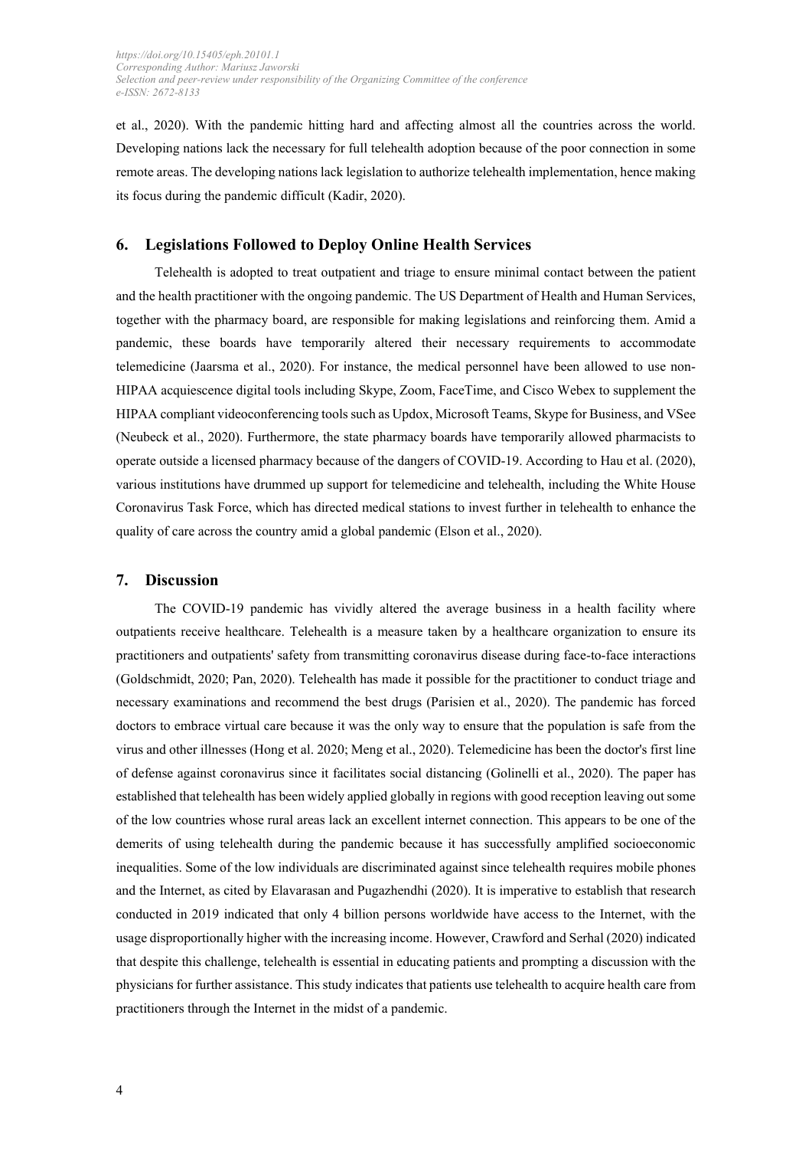et al., 2020). With the pandemic hitting hard and affecting almost all the countries across the world. Developing nations lack the necessary for full telehealth adoption because of the poor connection in some remote areas. The developing nations lack legislation to authorize telehealth implementation, hence making its focus during the pandemic difficult (Kadir, 2020).

## **6. Legislations Followed to Deploy Online Health Services**

Telehealth is adopted to treat outpatient and triage to ensure minimal contact between the patient and the health practitioner with the ongoing pandemic. The US Department of Health and Human Services, together with the pharmacy board, are responsible for making legislations and reinforcing them. Amid a pandemic, these boards have temporarily altered their necessary requirements to accommodate telemedicine (Jaarsma et al., 2020). For instance, the medical personnel have been allowed to use non-HIPAA acquiescence digital tools including Skype, Zoom, FaceTime, and Cisco Webex to supplement the HIPAA compliant videoconferencing tools such as Updox, Microsoft Teams, Skype for Business, and VSee (Neubeck et al., 2020). Furthermore, the state pharmacy boards have temporarily allowed pharmacists to operate outside a licensed pharmacy because of the dangers of COVID-19. According to Hau et al. (2020), various institutions have drummed up support for telemedicine and telehealth, including the White House Coronavirus Task Force, which has directed medical stations to invest further in telehealth to enhance the quality of care across the country amid a global pandemic (Elson et al., 2020).

#### **7. Discussion**

The COVID-19 pandemic has vividly altered the average business in a health facility where outpatients receive healthcare. Telehealth is a measure taken by a healthcare organization to ensure its practitioners and outpatients' safety from transmitting coronavirus disease during face-to-face interactions (Goldschmidt, 2020; Pan, 2020). Telehealth has made it possible for the practitioner to conduct triage and necessary examinations and recommend the best drugs (Parisien et al., 2020). The pandemic has forced doctors to embrace virtual care because it was the only way to ensure that the population is safe from the virus and other illnesses (Hong et al. 2020; Meng et al., 2020). Telemedicine has been the doctor's first line of defense against coronavirus since it facilitates social distancing (Golinelli et al., 2020). The paper has established that telehealth has been widely applied globally in regions with good reception leaving out some of the low countries whose rural areas lack an excellent internet connection. This appears to be one of the demerits of using telehealth during the pandemic because it has successfully amplified socioeconomic inequalities. Some of the low individuals are discriminated against since telehealth requires mobile phones and the Internet, as cited by Elavarasan and Pugazhendhi (2020). It is imperative to establish that research conducted in 2019 indicated that only 4 billion persons worldwide have access to the Internet, with the usage disproportionally higher with the increasing income. However, Crawford and Serhal (2020) indicated that despite this challenge, telehealth is essential in educating patients and prompting a discussion with the physicians for further assistance. This study indicates that patients use telehealth to acquire health care from practitioners through the Internet in the midst of a pandemic.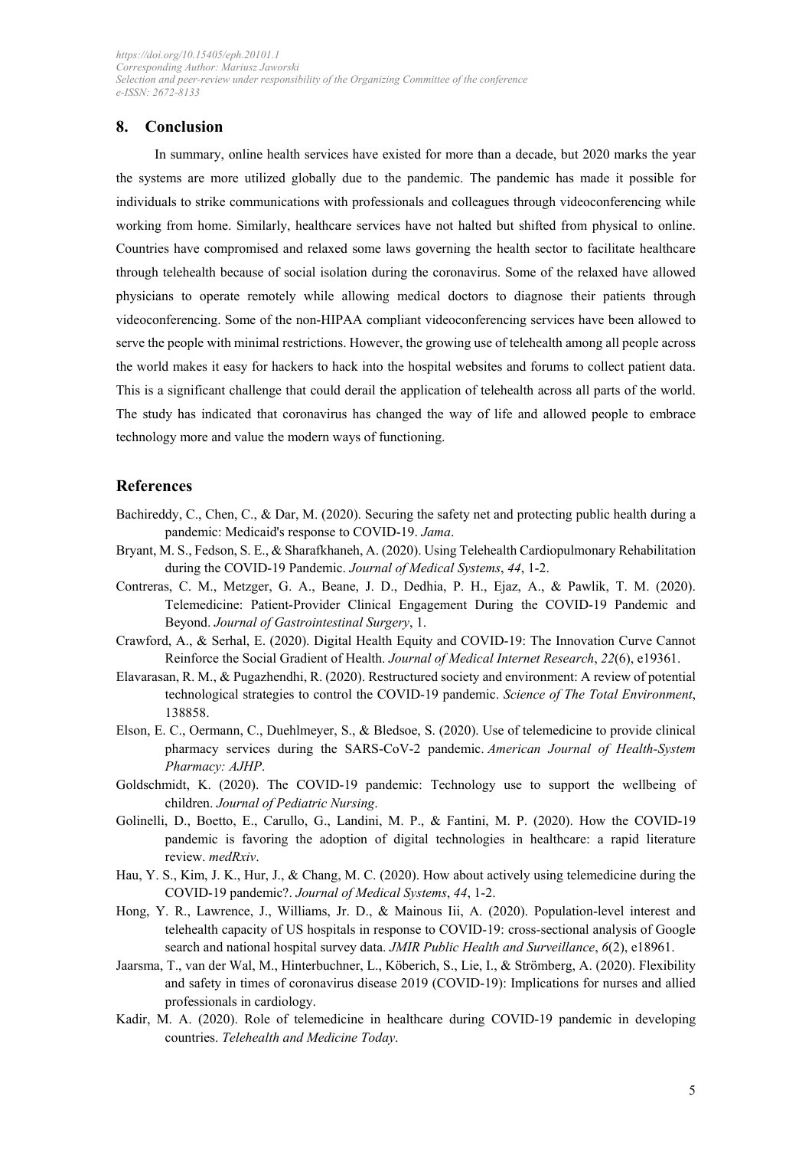### **8. Conclusion**

In summary, online health services have existed for more than a decade, but 2020 marks the year the systems are more utilized globally due to the pandemic. The pandemic has made it possible for individuals to strike communications with professionals and colleagues through videoconferencing while working from home. Similarly, healthcare services have not halted but shifted from physical to online. Countries have compromised and relaxed some laws governing the health sector to facilitate healthcare through telehealth because of social isolation during the coronavirus. Some of the relaxed have allowed physicians to operate remotely while allowing medical doctors to diagnose their patients through videoconferencing. Some of the non-HIPAA compliant videoconferencing services have been allowed to serve the people with minimal restrictions. However, the growing use of telehealth among all people across the world makes it easy for hackers to hack into the hospital websites and forums to collect patient data. This is a significant challenge that could derail the application of telehealth across all parts of the world. The study has indicated that coronavirus has changed the way of life and allowed people to embrace technology more and value the modern ways of functioning.

## **References**

- Bachireddy, C., Chen, C., & Dar, M. (2020). Securing the safety net and protecting public health during a pandemic: Medicaid's response to COVID-19. *Jama*.
- Bryant, M. S., Fedson, S. E., & Sharafkhaneh, A. (2020). Using Telehealth Cardiopulmonary Rehabilitation during the COVID-19 Pandemic. *Journal of Medical Systems*, *44*, 1-2.
- Contreras, C. M., Metzger, G. A., Beane, J. D., Dedhia, P. H., Ejaz, A., & Pawlik, T. M. (2020). Telemedicine: Patient-Provider Clinical Engagement During the COVID-19 Pandemic and Beyond. *Journal of Gastrointestinal Surgery*, 1.
- Crawford, A., & Serhal, E. (2020). Digital Health Equity and COVID-19: The Innovation Curve Cannot Reinforce the Social Gradient of Health. *Journal of Medical Internet Research*, *22*(6), e19361.
- Elavarasan, R. M., & Pugazhendhi, R. (2020). Restructured society and environment: A review of potential technological strategies to control the COVID-19 pandemic. *Science of The Total Environment*, 138858.
- Elson, E. C., Oermann, C., Duehlmeyer, S., & Bledsoe, S. (2020). Use of telemedicine to provide clinical pharmacy services during the SARS-CoV-2 pandemic. *American Journal of Health-System Pharmacy: AJHP*.
- Goldschmidt, K. (2020). The COVID-19 pandemic: Technology use to support the wellbeing of children. *Journal of Pediatric Nursing*.
- Golinelli, D., Boetto, E., Carullo, G., Landini, M. P., & Fantini, M. P. (2020). How the COVID-19 pandemic is favoring the adoption of digital technologies in healthcare: a rapid literature review. *medRxiv*.
- Hau, Y. S., Kim, J. K., Hur, J., & Chang, M. C. (2020). How about actively using telemedicine during the COVID-19 pandemic?. *Journal of Medical Systems*, *44*, 1-2.
- Hong, Y. R., Lawrence, J., Williams, Jr. D., & Mainous Iii, A. (2020). Population-level interest and telehealth capacity of US hospitals in response to COVID-19: cross-sectional analysis of Google search and national hospital survey data. *JMIR Public Health and Surveillance*, *6*(2), e18961.
- Jaarsma, T., van der Wal, M., Hinterbuchner, L., Köberich, S., Lie, I., & Strömberg, A. (2020). Flexibility and safety in times of coronavirus disease 2019 (COVID-19): Implications for nurses and allied professionals in cardiology.
- Kadir, M. A. (2020). Role of telemedicine in healthcare during COVID-19 pandemic in developing countries. *Telehealth and Medicine Today*.